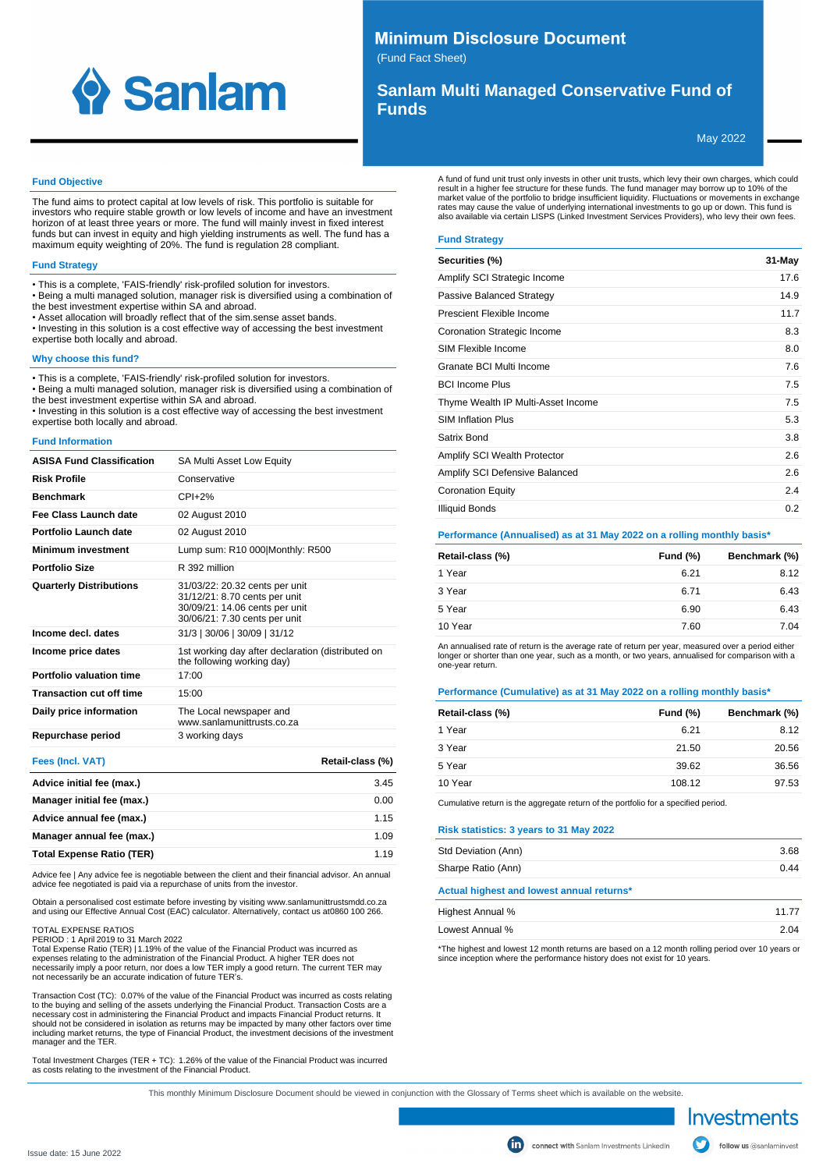

# **Minimum Disclosure Document**

(Fund Fact Sheet)

# **Sanlam Multi Managed Conservative Fund of Funds**

May 2022

#### **Fund Objective**

The fund aims to protect capital at low levels of risk. This portfolio is suitable for investors who require stable growth or low levels of income and have an investment horizon of at least three years or more. The fund will mainly invest in fixed interest funds but can invest in equity and high yielding instruments as well. The fund has a maximum equity weighting of 20%. The fund is regulation 28 compliant.

#### **Fund Strategy**

- This is a complete, 'FAIS-friendly' risk-profiled solution for investors.
- Being a multi managed solution, manager risk is diversified using a combination of
- the best investment expertise within SA and abroad.
- Asset allocation will broadly reflect that of the sim.sense asset bands. • Investing in this solution is a cost effective way of accessing the best investment
- expertise both locally and abroad.

#### **Why choose this fund?**

• This is a complete, 'FAIS-friendly' risk-profiled solution for investors.

• Being a multi managed solution, manager risk is diversified using a combination of the best investment expertise within SA and abroad.

• Investing in this solution is a cost effective way of accessing the best investment expertise both locally and abroad.

#### **Fund Information**

| <b>ASISA Fund Classification</b> | SA Multi Asset Low Equity                                                                                                          |
|----------------------------------|------------------------------------------------------------------------------------------------------------------------------------|
| <b>Risk Profile</b>              | Conservative                                                                                                                       |
| <b>Benchmark</b>                 | $CPI+2%$                                                                                                                           |
| Fee Class Launch date            | 02 August 2010                                                                                                                     |
| Portfolio Launch date            | 02 August 2010                                                                                                                     |
| <b>Minimum investment</b>        | Lump sum: R10 000 Monthly: R500                                                                                                    |
| <b>Portfolio Size</b>            | R 392 million                                                                                                                      |
| <b>Quarterly Distributions</b>   | 31/03/22: 20.32 cents per unit<br>31/12/21: 8.70 cents per unit<br>30/09/21: 14.06 cents per unit<br>30/06/21: 7.30 cents per unit |
| Income decl. dates               | 31/3   30/06   30/09   31/12                                                                                                       |
| Income price dates               | 1st working day after declaration (distributed on<br>the following working day)                                                    |
| Portfolio valuation time         | 17:00                                                                                                                              |
| <b>Transaction cut off time</b>  | 15:00                                                                                                                              |
| Daily price information          | The Local newspaper and<br>www sanlamunittrusts co za                                                                              |
| Repurchase period                | 3 working days                                                                                                                     |
|                                  |                                                                                                                                    |

| Fees (Incl. VAT)                 | Retail-class (%) |
|----------------------------------|------------------|
| Advice initial fee (max.)        | 3.45             |
| Manager initial fee (max.)       | 0.00             |
| Advice annual fee (max.)         | 1.15             |
| Manager annual fee (max.)        | 1.09             |
| <b>Total Expense Ratio (TER)</b> | 1.19             |

Advice fee | Any advice fee is negotiable between the client and their financial advisor. An annual advice fee negotiated is paid via a repurchase of units from the investor.

Obtain a personalised cost estimate before investing by visiting www.sanlamunittrustsmdd.co.za<br>and using our Effective Annual Cost (EAC) calculator. Alternatively, contact us at0860 100 266.

#### TOTAL EXPENSE RATIOS

PERIOD : 1 April 2019 to 31 March 2022

Total Expense Ratio (TER) | 1.19% of the value of the Financial Product was incurred as expenses relating to the administration of the Financial Product. A higher TER does not necessarily imply a poor return, nor does a low TER imply a good return. The current TER may not necessarily be an accurate indication of future TER's.

Transaction Cost (TC): 0.07% of the value of the Financial Product was incurred as costs relating to the buying and selling of the assets underlying the Financial Product. Transaction Costs are a necessary cost in administering the Financial Product and impacts Financial Product returns. It should not be considered in isolation as returns may be impacted by many other factors over time including market returns, the type of Financial Product, the investment decisions of the investment manager and the TER.

Total Investment Charges (TER + TC): 1.26% of the value of the Financial Product was incurred as costs relating to the investment of the Financial Product.

A fund of fund unit trust only invests in other unit trusts, which levy their own charges, which could result in a higher fee structure for these funds. The fund manager may borrow up to 10% of the market value of the portfolio to bridge insufficient liquidity. Fluctuations or movements in exchange rates may cause the value of underlying international investments to go up or down. This fund is also available via certain LISPS (Linked Investment Services Providers), who levy their own fees.

## **Fund Strategy**

| Securities (%)                     | 31-May |
|------------------------------------|--------|
| Amplify SCI Strategic Income       | 17.6   |
| Passive Balanced Strategy          | 14.9   |
| Prescient Flexible Income          | 11.7   |
| Coronation Strategic Income        | 8.3    |
| SIM Flexible Income                | 8.0    |
| Granate BCI Multi Income           | 7.6    |
| <b>BCI Income Plus</b>             | 7.5    |
| Thyme Wealth IP Multi-Asset Income | 7.5    |
| <b>SIM Inflation Plus</b>          | 5.3    |
| Satrix Bond                        | 3.8    |
| Amplify SCI Wealth Protector       | 2.6    |
| Amplify SCI Defensive Balanced     | 2.6    |
| <b>Coronation Equity</b>           | 2.4    |
| Illiquid Bonds                     | 0.2    |

#### **Performance (Annualised) as at 31 May 2022 on a rolling monthly basis\***

| Retail-class (%) | <b>Fund (%)</b> | Benchmark (%) |
|------------------|-----------------|---------------|
| 1 Year           | 6.21            | 8.12          |
| 3 Year           | 6.71            | 6.43          |
| 5 Year           | 6.90            | 6.43          |
| 10 Year          | 7.60            | 7.04          |

An annualised rate of return is the average rate of return per year, measured over a period either<br>longer or shorter than one year, such as a month, or two years, annualised for comparison with a one-year return.

#### **Performance (Cumulative) as at 31 May 2022 on a rolling monthly basis\***

| Retail-class (%) | Fund $(\%)$ | Benchmark (%) |
|------------------|-------------|---------------|
| 1 Year           | 6.21        | 8.12          |
| 3 Year           | 21.50       | 20.56         |
| 5 Year           | 39.62       | 36.56         |
| 10 Year          | 108.12      | 97.53         |

Cumulative return is the aggregate return of the portfolio for a specified period.

#### **Risk statistics: 3 years to 31 May 2022**

| Std Deviation (Ann)                       | 3.68 |
|-------------------------------------------|------|
|                                           |      |
| Sharpe Ratio (Ann)                        | 0.44 |
| Actual highest and lowest annual returns* |      |
| Highest Annual %                          | 1177 |
| Lowest Annual %                           | 2.04 |

\*The highest and lowest 12 month returns are based on a 12 month rolling period over 10 years or since inception where the performance history does not exist for 10 years.

Investments follow us @sanlaminvest